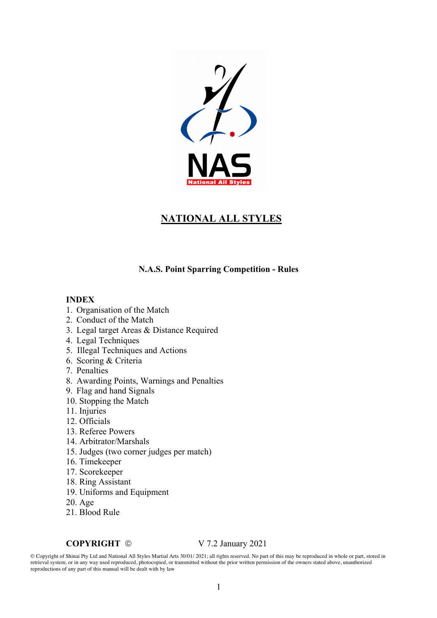

# **NATIONAL ALL STYLES**

#### **N.A.S. Point Sparring Competition - Rules**

#### **INDEX**

- 1. Organisation of the Match
- 2. Conduct of the Match
- 3. Legal target Areas & Distance Required
- 4. Legal Techniques
- 5. Illegal Techniques and Actions
- 6. Scoring & Criteria
- 7. Penalties
- 8. Awarding Points, Warnings and Penalties
- 9. Flag and hand Signals
- 10. Stopping the Match
- 11. Injuries
- 12. Officials
- 13. Referee Powers
- 14. Arbitrator/Marshals
- 15. Judges (two corner judges per match)
- 16. Timekeeper
- 17. Scorekeeper
- 18. Ring Assistant
- 19. Uniforms and Equipment
- 20. Age
- 21. Blood Rule

#### **COPYRIGHT**  $\odot$  V 7.2 January 2021

© Copyright of Shinai Pty Ltd and National All Styles Martial Arts 30/01/ 2021; all rights reserved. No part of this may be reproduced in whole or part, stored in retrieval system, or in any way used reproduced, photocopied, or transmitted without the prior written permission of the owners stated above, unauthorized reproductions of any part of this manual will be dealt with by law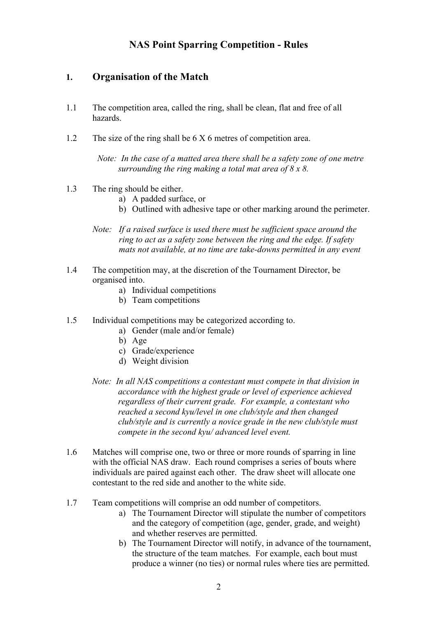# **NAS Point Sparring Competition - Rules**

### **1. Organisation of the Match**

- 1.1 The competition area, called the ring, shall be clean, flat and free of all hazards.
- 1.2 The size of the ring shall be 6 X 6 metres of competition area.

*Note: In the case of a matted area there shall be a safety zone of one metre surrounding the ring making a total mat area of 8 x 8.*

- 1.3 The ring should be either.
	- a) A padded surface, or
	- b) Outlined with adhesive tape or other marking around the perimeter.
	- *Note: If a raised surface is used there must be sufficient space around the ring to act as a safety zone between the ring and the edge. If safety mats not available, at no time are take-downs permitted in any event*
- 1.4 The competition may, at the discretion of the Tournament Director, be organised into.
	- a) Individual competitions
	- b) Team competitions
- 1.5 Individual competitions may be categorized according to.
	- a) Gender (male and/or female)
	- b) Age
	- c) Grade/experience
	- d) Weight division
	- *Note: In all NAS competitions a contestant must compete in that division in accordance with the highest grade or level of experience achieved regardless of their current grade. For example, a contestant who reached a second kyu/level in one club/style and then changed club/style and is currently a novice grade in the new club/style must compete in the second kyu/ advanced level event.*
- 1.6 Matches will comprise one, two or three or more rounds of sparring in line with the official NAS draw. Each round comprises a series of bouts where individuals are paired against each other. The draw sheet will allocate one contestant to the red side and another to the white side.
- 1.7 Team competitions will comprise an odd number of competitors.
	- a) The Tournament Director will stipulate the number of competitors and the category of competition (age, gender, grade, and weight) and whether reserves are permitted.
	- b) The Tournament Director will notify, in advance of the tournament, the structure of the team matches. For example, each bout must produce a winner (no ties) or normal rules where ties are permitted.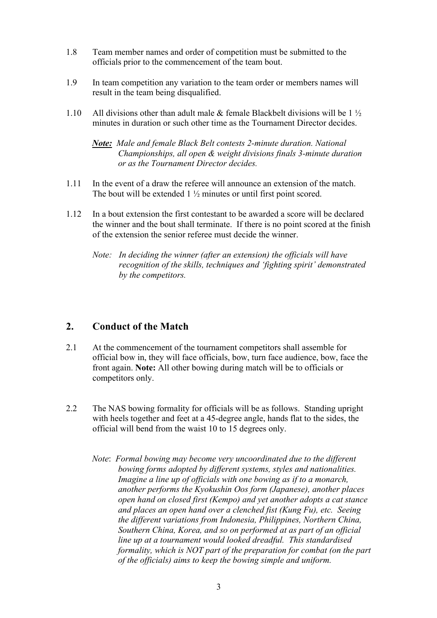- 1.8 Team member names and order of competition must be submitted to the officials prior to the commencement of the team bout.
- 1.9 In team competition any variation to the team order or members names will result in the team being disqualified.
- 1.10 All divisions other than adult male & female Blackbelt divisions will be 1  $\frac{1}{2}$ minutes in duration or such other time as the Tournament Director decides.

*Note: Male and female Black Belt contests 2-minute duration. National Championships, all open & weight divisions finals 3-minute duration or as the Tournament Director decides.*

- 1.11 In the event of a draw the referee will announce an extension of the match. The bout will be extended 1 ½ minutes or until first point scored.
- 1.12 In a bout extension the first contestant to be awarded a score will be declared the winner and the bout shall terminate. If there is no point scored at the finish of the extension the senior referee must decide the winner.
	- *Note: In deciding the winner (after an extension) the officials will have recognition of the skills, techniques and 'fighting spirit' demonstrated by the competitors.*

# **2. Conduct of the Match**

- 2.1 At the commencement of the tournament competitors shall assemble for official bow in, they will face officials, bow, turn face audience, bow, face the front again. **Note:** All other bowing during match will be to officials or competitors only.
- 2.2 The NAS bowing formality for officials will be as follows. Standing upright with heels together and feet at a 45-degree angle, hands flat to the sides, the official will bend from the waist 10 to 15 degrees only.
	- *Note*: *Formal bowing may become very uncoordinated due to the different bowing forms adopted by different systems, styles and nationalities. Imagine a line up of officials with one bowing as if to a monarch, another performs the Kyokushin Oos form (Japanese), another places open hand on closed first (Kempo) and yet another adopts a cat stance and places an open hand over a clenched fist (Kung Fu), etc. Seeing the different variations from Indonesia, Philippines, Northern China, Southern China, Korea, and so on performed at as part of an official line up at a tournament would looked dreadful. This standardised formality, which is NOT part of the preparation for combat (on the part of the officials) aims to keep the bowing simple and uniform.*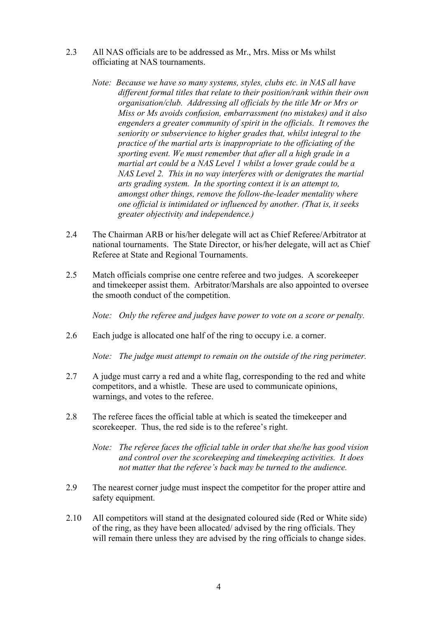- 2.3 All NAS officials are to be addressed as Mr., Mrs. Miss or Ms whilst officiating at NAS tournaments.
	- *Note: Because we have so many systems, styles, clubs etc. in NAS all have different formal titles that relate to their position/rank within their own organisation/club. Addressing all officials by the title Mr or Mrs or Miss or Ms avoids confusion, embarrassment (no mistakes) and it also engenders a greater community of spirit in the officials. It removes the seniority or subservience to higher grades that, whilst integral to the practice of the martial arts is inappropriate to the officiating of the sporting event. We must remember that after all a high grade in a martial art could be a NAS Level 1 whilst a lower grade could be a NAS Level 2. This in no way interferes with or denigrates the martial arts grading system. In the sporting context it is an attempt to, amongst other things, remove the follow-the-leader mentality where one official is intimidated or influenced by another. (That is, it seeks greater objectivity and independence.)*
- 2.4 The Chairman ARB or his/her delegate will act as Chief Referee/Arbitrator at national tournaments. The State Director, or his/her delegate, will act as Chief Referee at State and Regional Tournaments.
- 2.5 Match officials comprise one centre referee and two judges. A scorekeeper and timekeeper assist them. Arbitrator/Marshals are also appointed to oversee the smooth conduct of the competition.

*Note: Only the referee and judges have power to vote on a score or penalty.*

2.6 Each judge is allocated one half of the ring to occupy i.e. a corner.

*Note: The judge must attempt to remain on the outside of the ring perimeter.*

- 2.7 A judge must carry a red and a white flag, corresponding to the red and white competitors, and a whistle. These are used to communicate opinions, warnings, and votes to the referee.
- 2.8 The referee faces the official table at which is seated the timekeeper and scorekeeper. Thus, the red side is to the referee's right.
	- *Note: The referee faces the official table in order that she/he has good vision and control over the scorekeeping and timekeeping activities. It does not matter that the referee's back may be turned to the audience.*
- 2.9 The nearest corner judge must inspect the competitor for the proper attire and safety equipment.
- 2.10 All competitors will stand at the designated coloured side (Red or White side) of the ring, as they have been allocated/ advised by the ring officials. They will remain there unless they are advised by the ring officials to change sides.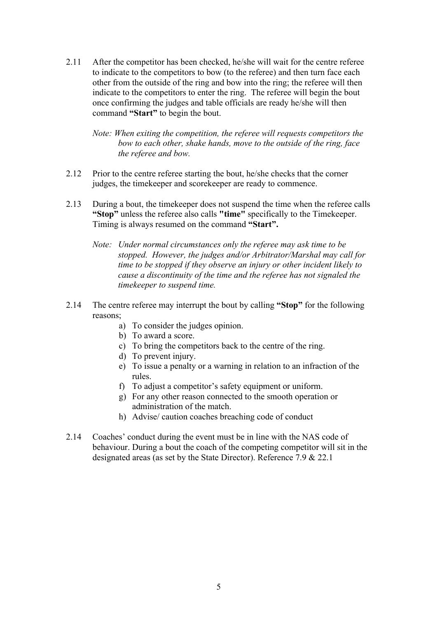2.11 After the competitor has been checked, he/she will wait for the centre referee to indicate to the competitors to bow (to the referee) and then turn face each other from the outside of the ring and bow into the ring; the referee will then indicate to the competitors to enter the ring. The referee will begin the bout once confirming the judges and table officials are ready he/she will then command **"Start"** to begin the bout.

*Note: When exiting the competition, the referee will requests competitors the bow to each other, shake hands, move to the outside of the ring, face the referee and bow.* 

- 2.12 Prior to the centre referee starting the bout, he/she checks that the corner judges, the timekeeper and scorekeeper are ready to commence.
- 2.13 During a bout, the timekeeper does not suspend the time when the referee calls **"Stop"** unless the referee also calls **"time"** specifically to the Timekeeper. Timing is always resumed on the command **"Start".**
	- *Note: Under normal circumstances only the referee may ask time to be stopped. However, the judges and/or Arbitrator/Marshal may call for time to be stopped if they observe an injury or other incident likely to cause a discontinuity of the time and the referee has not signaled the timekeeper to suspend time.*
- 2.14 The centre referee may interrupt the bout by calling **"Stop"** for the following reasons;
	- a) To consider the judges opinion.
	- b) To award a score.
	- c) To bring the competitors back to the centre of the ring.
	- d) To prevent injury.
	- e) To issue a penalty or a warning in relation to an infraction of the rules.
	- f) To adjust a competitor's safety equipment or uniform.
	- g) For any other reason connected to the smooth operation or administration of the match.
	- h) Advise/ caution coaches breaching code of conduct
- 2.14 Coaches' conduct during the event must be in line with the NAS code of behaviour. During a bout the coach of the competing competitor will sit in the designated areas (as set by the State Director). Reference 7.9 & 22.1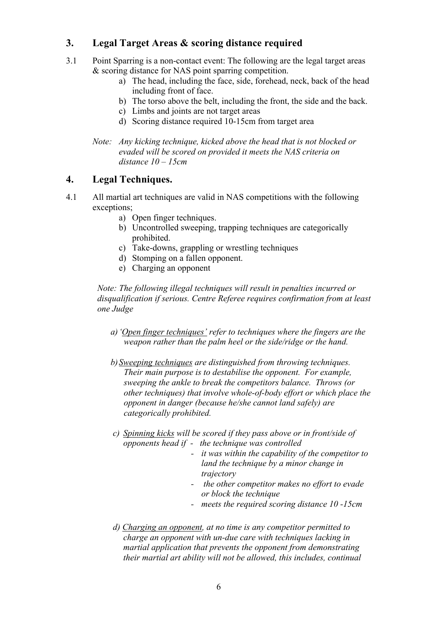# **3. Legal Target Areas & scoring distance required**

- 3.1 Point Sparring is a non-contact event: The following are the legal target areas & scoring distance for NAS point sparring competition.
	- a) The head, including the face, side, forehead, neck, back of the head including front of face.
	- b) The torso above the belt, including the front, the side and the back.
	- c) Limbs and joints are not target areas
	- d) Scoring distance required 10-15cm from target area

*Note: Any kicking technique, kicked above the head that is not blocked or evaded will be scored on provided it meets the NAS criteria on distance 10 – 15cm* 

# **4. Legal Techniques.**

- 4.1 All martial art techniques are valid in NAS competitions with the following exceptions;
	- a) Open finger techniques.
	- b) Uncontrolled sweeping, trapping techniques are categorically prohibited.
	- c) Take-downs, grappling or wrestling techniques
	- d) Stomping on a fallen opponent.
	- e) Charging an opponent

*Note: The following illegal techniques will result in penalties incurred or disqualification if serious. Centre Referee requires confirmation from at least one Judge*

- *a)'Open finger techniques' refer to techniques where the fingers are the weapon rather than the palm heel or the side/ridge or the hand.*
- *b)Sweeping techniques are distinguished from throwing techniques. Their main purpose is to destabilise the opponent. For example, sweeping the ankle to break the competitors balance. Throws (or other techniques) that involve whole-of-body effort or which place the opponent in danger (because he/she cannot land safely) are categorically prohibited.*
- *c) Spinning kicks will be scored if they pass above or in front/side of opponents head if - the technique was controlled*
	- *- it was within the capability of the competitor to land the technique by a minor change in trajectory*
	- *- the other competitor makes no effort to evade or block the technique*
	- *- meets the required scoring distance 10 -15cm*
- *d) Charging an opponent, at no time is any competitor permitted to charge an opponent with un-due care with techniques lacking in martial application that prevents the opponent from demonstrating their martial art ability will not be allowed, this includes, continual*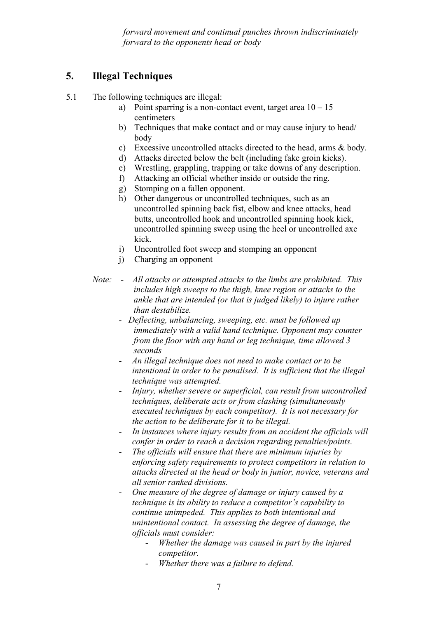*forward movement and continual punches thrown indiscriminately forward to the opponents head or body*

# **5. Illegal Techniques**

5.1 The following techniques are illegal:

- a) Point sparring is a non-contact event, target area  $10 15$ centimeters
- b) Techniques that make contact and or may cause injury to head/ body
- c) Excessive uncontrolled attacks directed to the head, arms & body.
- d) Attacks directed below the belt (including fake groin kicks).
- e) Wrestling, grappling, trapping or take downs of any description.
- f) Attacking an official whether inside or outside the ring.
- g) Stomping on a fallen opponent.
- h) Other dangerous or uncontrolled techniques, such as an uncontrolled spinning back fist, elbow and knee attacks, head butts, uncontrolled hook and uncontrolled spinning hook kick, uncontrolled spinning sweep using the heel or uncontrolled axe kick.
- i) Uncontrolled foot sweep and stomping an opponent
- j) Charging an opponent
- *Note: All attacks or attempted attacks to the limbs are prohibited. This includes high sweeps to the thigh, knee region or attacks to the ankle that are intended (or that is judged likely) to injure rather than destabilize.*
	- *Deflecting, unbalancing, sweeping, etc. must be followed up immediately with a valid hand technique. Opponent may counter from the floor with any hand or leg technique, time allowed 3 seconds*
	- *An illegal technique does not need to make contact or to be intentional in order to be penalised. It is sufficient that the illegal technique was attempted.*
	- *Injury, whether severe or superficial, can result from uncontrolled techniques, deliberate acts or from clashing (simultaneously executed techniques by each competitor). It is not necessary for the action to be deliberate for it to be illegal.*
	- *In instances where injury results from an accident the officials will confer in order to reach a decision regarding penalties/points.*
	- *The officials will ensure that there are minimum injuries by enforcing safety requirements to protect competitors in relation to attacks directed at the head or body in junior, novice, veterans and all senior ranked divisions.*
	- *One measure of the degree of damage or injury caused by a technique is its ability to reduce a competitor's capability to continue unimpeded. This applies to both intentional and unintentional contact. In assessing the degree of damage, the officials must consider:*
		- *Whether the damage was caused in part by the injured competitor.*
		- *Whether there was a failure to defend.*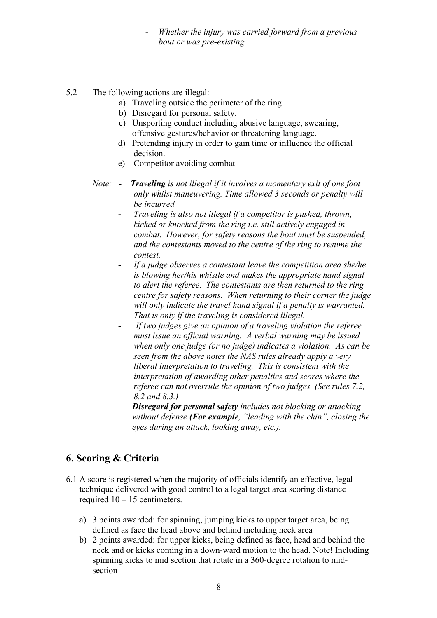- *Whether the injury was carried forward from a previous bout or was pre-existing.*
- 5.2 The following actions are illegal:
	- a) Traveling outside the perimeter of the ring.
	- b) Disregard for personal safety.
	- c) Unsporting conduct including abusive language, swearing, offensive gestures/behavior or threatening language.
	- d) Pretending injury in order to gain time or influence the official decision.
	- e) Competitor avoiding combat
	- *Note: Traveling is not illegal if it involves a momentary exit of one foot only whilst maneuvering. Time allowed 3 seconds or penalty will be incurred*
		- *Traveling is also not illegal if a competitor is pushed, thrown, kicked or knocked from the ring i.e. still actively engaged in combat. However, for safety reasons the bout must be suspended, and the contestants moved to the centre of the ring to resume the contest.*
		- *If a judge observes a contestant leave the competition area she/he is blowing her/his whistle and makes the appropriate hand signal to alert the referee. The contestants are then returned to the ring centre for safety reasons. When returning to their corner the judge will only indicate the travel hand signal if a penalty is warranted. That is only if the traveling is considered illegal.*
		- *If two judges give an opinion of a traveling violation the referee must issue an official warning. A verbal warning may be issued when only one judge (or no judge) indicates a violation. As can be seen from the above notes the NAS rules already apply a very liberal interpretation to traveling. This is consistent with the interpretation of awarding other penalties and scores where the referee can not overrule the opinion of two judges. (See rules 7.2, 8.2 and 8.3.)*
		- *Disregard for personal safety includes not blocking or attacking without defense (For example, "leading with the chin", closing the eyes during an attack, looking away, etc.).*

# **6. Scoring & Criteria**

- 6.1 A score is registered when the majority of officials identify an effective, legal technique delivered with good control to a legal target area scoring distance required  $10 - 15$  centimeters.
	- a) 3 points awarded: for spinning, jumping kicks to upper target area, being defined as face the head above and behind including neck area
	- b) 2 points awarded: for upper kicks, being defined as face, head and behind the neck and or kicks coming in a down-ward motion to the head. Note! Including spinning kicks to mid section that rotate in a 360-degree rotation to midsection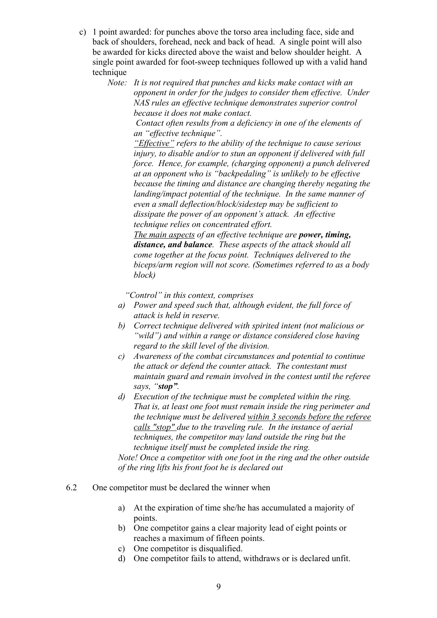- c) 1 point awarded: for punches above the torso area including face, side and back of shoulders, forehead, neck and back of head. A single point will also be awarded for kicks directed above the waist and below shoulder height. A single point awarded for foot-sweep techniques followed up with a valid hand technique
	- *Note: It is not required that punches and kicks make contact with an opponent in order for the judges to consider them effective. Under NAS rules an effective technique demonstrates superior control because it does not make contact.*

*Contact often results from a deficiency in one of the elements of an "effective technique".*

*"Effective" refers to the ability of the technique to cause serious injury, to disable and/or to stun an opponent if delivered with full force. Hence, for example, (charging opponent) a punch delivered at an opponent who is "backpedaling" is unlikely to be effective because the timing and distance are changing thereby negating the landing/impact potential of the technique. In the same manner of even a small deflection/block/sidestep may be sufficient to dissipate the power of an opponent's attack. An effective technique relies on concentrated effort.*

*The main aspects of an effective technique are power, timing, distance, and balance. These aspects of the attack should all come together at the focus point. Techniques delivered to the biceps/arm region will not score. (Sometimes referred to as a body block)*

 *"Control" in this context, comprises*

- *a) Power and speed such that, although evident, the full force of attack is held in reserve.*
- *b) Correct technique delivered with spirited intent (not malicious or "wild") and within a range or distance considered close having regard to the skill level of the division.*
- *c) Awareness of the combat circumstances and potential to continue the attack or defend the counter attack. The contestant must maintain guard and remain involved in the contest until the referee says, "stop".*
- *d) Execution of the technique must be completed within the ring. That is, at least one foot must remain inside the ring perimeter and the technique must be delivered within 3 seconds before the referee calls "stop" due to the traveling rule. In the instance of aerial techniques, the competitor may land outside the ring but the technique itself must be completed inside the ring. Note! Once a competitor with one foot in the ring and the other outside of the ring lifts his front foot he is declared out*
- 6.2 One competitor must be declared the winner when
	- a) At the expiration of time she/he has accumulated a majority of points.
	- b) One competitor gains a clear majority lead of eight points or reaches a maximum of fifteen points.
	- c) One competitor is disqualified.
	- d) One competitor fails to attend, withdraws or is declared unfit.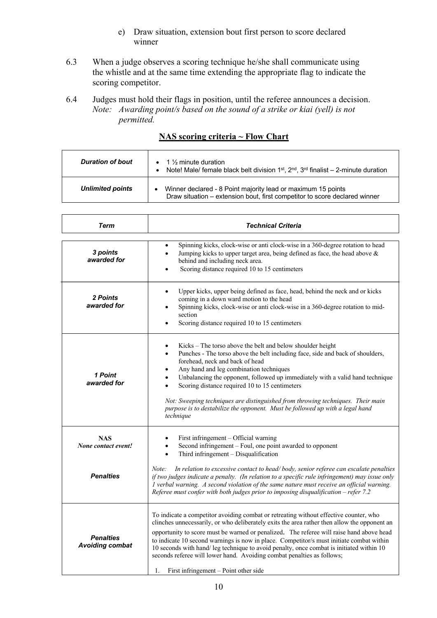- e) Draw situation, extension bout first person to score declared winner
- 6.3 When a judge observes a scoring technique he/she shall communicate using the whistle and at the same time extending the appropriate flag to indicate the scoring competitor.
- 6.4 Judges must hold their flags in position, until the referee announces a decision. *Note: Awarding point/s based on the sound of a strike or kiai (yell) is not permitted.*

| <b>Duration of bout</b> | • 1 $\frac{1}{2}$ minute duration<br>Note! Male/ female black belt division $1st$ , $2nd$ , $3rd$ finalist – 2-minute duration<br>$\bullet$ |
|-------------------------|---------------------------------------------------------------------------------------------------------------------------------------------|
| <b>Unlimited points</b> | Winner declared - 8 Point majority lead or maximum 15 points<br>Draw situation – extension bout, first competitor to score declared winner  |

# **NAS scoring criteria ~ Flow Chart**

| <b>Term</b>                                | <b>Technical Criteria</b>                                                                                                                                                                                                                                                                                                                                                                                                                                                                                                                                                                         |
|--------------------------------------------|---------------------------------------------------------------------------------------------------------------------------------------------------------------------------------------------------------------------------------------------------------------------------------------------------------------------------------------------------------------------------------------------------------------------------------------------------------------------------------------------------------------------------------------------------------------------------------------------------|
| 3 points<br>awarded for                    | Spinning kicks, clock-wise or anti clock-wise in a 360-degree rotation to head<br>Jumping kicks to upper target area, being defined as face, the head above &<br>behind and including neck area.<br>Scoring distance required 10 to 15 centimeters<br>$\bullet$                                                                                                                                                                                                                                                                                                                                   |
| 2 Points<br>awarded for                    | Upper kicks, upper being defined as face, head, behind the neck and or kicks<br>$\bullet$<br>coming in a down ward motion to the head<br>Spinning kicks, clock-wise or anti clock-wise in a 360-degree rotation to mid-<br>section<br>Scoring distance required 10 to 15 centimeters                                                                                                                                                                                                                                                                                                              |
| 1 Point<br>awarded for                     | Kicks - The torso above the belt and below shoulder height<br>٠<br>Punches - The torso above the belt including face, side and back of shoulders,<br>$\bullet$<br>forehead, neck and back of head<br>Any hand and leg combination techniques<br>Unbalancing the opponent, followed up immediately with a valid hand technique<br>Scoring distance required 10 to 15 centimeters<br>Not: Sweeping techniques are distinguished from throwing techniques. Their main<br>purpose is to destabilize the opponent. Must be followed up with a legal hand<br>technique                                  |
| <b>NAS</b><br>None contact event!          | First infringement - Official warning<br>Second infringement – Foul, one point awarded to opponent<br>Third infringement - Disqualification<br>$\bullet$                                                                                                                                                                                                                                                                                                                                                                                                                                          |
| <b>Penalties</b>                           | Note:<br>In relation to excessive contact to head/body, senior referee can escalate penalties<br>if two judges indicate a penalty. (In relation to a specific rule infringement) may issue only<br>1 verbal warning. A second violation of the same nature must receive an official warning.<br>Referee must confer with both judges prior to imposing disqualification – refer $7.2$                                                                                                                                                                                                             |
| <b>Penalties</b><br><b>Avoiding combat</b> | To indicate a competitor avoiding combat or retreating without effective counter, who<br>clinches unnecessarily, or who deliberately exits the area rather then allow the opponent an<br>opportunity to score must be warned or penalized. The referee will raise hand above head<br>to indicate 10 second warnings is now in place. Competitor/s must initiate combat within<br>10 seconds with hand/leg technique to avoid penalty, once combat is initiated within 10<br>seconds referee will lower hand. Avoiding combat penalties as follows;<br>First infringement – Point other side<br>1. |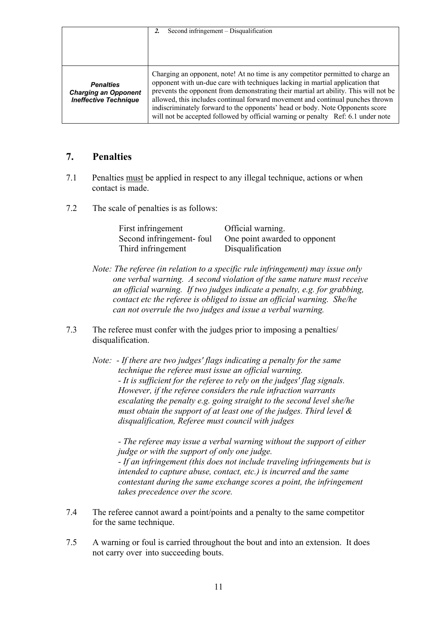|                                                                                 | Second infringement - Disqualification                                                                                                                                                                                                                                                                                                                                                                                                                                                                          |
|---------------------------------------------------------------------------------|-----------------------------------------------------------------------------------------------------------------------------------------------------------------------------------------------------------------------------------------------------------------------------------------------------------------------------------------------------------------------------------------------------------------------------------------------------------------------------------------------------------------|
|                                                                                 |                                                                                                                                                                                                                                                                                                                                                                                                                                                                                                                 |
| <b>Penalties</b><br><b>Charging an Opponent</b><br><b>Ineffective Technique</b> | Charging an opponent, note! At no time is any competitor permitted to charge an<br>opponent with un-due care with techniques lacking in martial application that<br>prevents the opponent from demonstrating their martial art ability. This will not be<br>allowed, this includes continual forward movement and continual punches thrown<br>indiscriminately forward to the opponents' head or body. Note Opponents score<br>will not be accepted followed by official warning or penalty Ref: 6.1 under note |

# **7. Penalties**

- 7.1 Penalties must be applied in respect to any illegal technique, actions or when contact is made.
- 7.2 The scale of penalties is as follows:

| First infringement        | Official warning.             |
|---------------------------|-------------------------------|
| Second infringement- foul | One point awarded to opponent |
| Third infringement        | Disqualification              |

- *Note: The referee (in relation to a specific rule infringement) may issue only one verbal warning. A second violation of the same nature must receive an official warning. If two judges indicate a penalty, e.g. for grabbing, contact etc the referee is obliged to issue an official warning. She/he can not overrule the two judges and issue a verbal warning.*
- 7.3 The referee must confer with the judges prior to imposing a penalties/ disqualification.
	- *Note: - If there are two judges' flags indicating a penalty for the same technique the referee must issue an official warning. - It is sufficient for the referee to rely on the judges' flag signals. However, if the referee considers the rule infraction warrants escalating the penalty e.g. going straight to the second level she/he must obtain the support of at least one of the judges. Third level & disqualification, Referee must council with judges*

*- The referee may issue a verbal warning without the support of either judge or with the support of only one judge. - If an infringement (this does not include traveling infringements but is intended to capture abuse, contact, etc.) is incurred and the same contestant during the same exchange scores a point, the infringement takes precedence over the score.*

- 7.4 The referee cannot award a point/points and a penalty to the same competitor for the same technique.
- 7.5 A warning or foul is carried throughout the bout and into an extension. It does not carry over into succeeding bouts.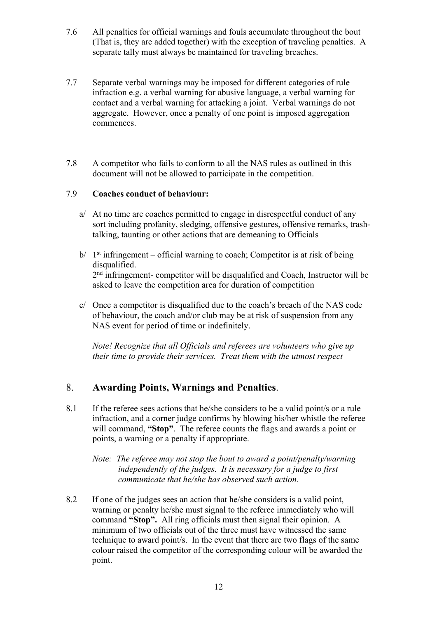- 7.6 All penalties for official warnings and fouls accumulate throughout the bout (That is, they are added together) with the exception of traveling penalties. A separate tally must always be maintained for traveling breaches.
- 7.7 Separate verbal warnings may be imposed for different categories of rule infraction e.g. a verbal warning for abusive language, a verbal warning for contact and a verbal warning for attacking a joint. Verbal warnings do not aggregate. However, once a penalty of one point is imposed aggregation commences.
- 7.8 A competitor who fails to conform to all the NAS rules as outlined in this document will not be allowed to participate in the competition.

#### 7.9 **Coaches conduct of behaviour:**

- a/ At no time are coaches permitted to engage in disrespectful conduct of any sort including profanity, sledging, offensive gestures, offensive remarks, trashtalking, taunting or other actions that are demeaning to Officials
- $b/ 1$ <sup>st</sup> infringement official warning to coach; Competitor is at risk of being disqualified. 2<sup>nd</sup> infringement- competitor will be disqualified and Coach, Instructor will be asked to leave the competition area for duration of competition
- c/ Once a competitor is disqualified due to the coach's breach of the NAS code of behaviour, the coach and/or club may be at risk of suspension from any NAS event for period of time or indefinitely.

*Note! Recognize that all Officials and referees are volunteers who give up their time to provide their services. Treat them with the utmost respect*

# 8. **Awarding Points, Warnings and Penalties**.

8.1 If the referee sees actions that he/she considers to be a valid point/s or a rule infraction, and a corner judge confirms by blowing his/her whistle the referee will command, **"Stop"**. The referee counts the flags and awards a point or points, a warning or a penalty if appropriate.

*Note: The referee may not stop the bout to award a point/penalty/warning independently of the judges. It is necessary for a judge to first communicate that he/she has observed such action.* 

8.2 If one of the judges sees an action that he/she considers is a valid point, warning or penalty he/she must signal to the referee immediately who will command **"Stop".** All ring officials must then signal their opinion. A minimum of two officials out of the three must have witnessed the same technique to award point/s. In the event that there are two flags of the same colour raised the competitor of the corresponding colour will be awarded the point.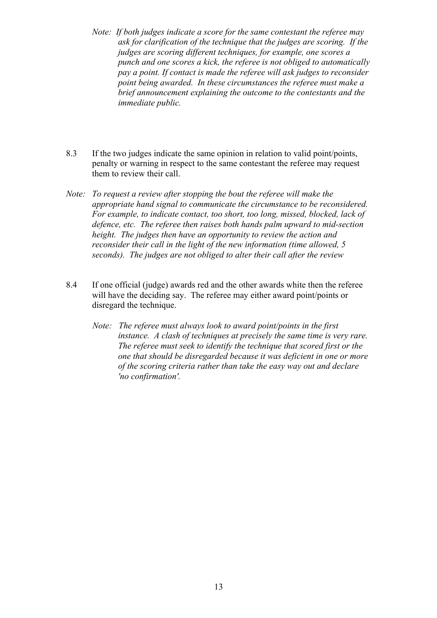- *Note: If both judges indicate a score for the same contestant the referee may ask for clarification of the technique that the judges are scoring. If the judges are scoring different techniques, for example, one scores a punch and one scores a kick, the referee is not obliged to automatically pay a point. If contact is made the referee will ask judges to reconsider point being awarded. In these circumstances the referee must make a brief announcement explaining the outcome to the contestants and the immediate public.*
- 8.3 If the two judges indicate the same opinion in relation to valid point/points, penalty or warning in respect to the same contestant the referee may request them to review their call.
- *Note: To request a review after stopping the bout the referee will make the appropriate hand signal to communicate the circumstance to be reconsidered. For example, to indicate contact, too short, too long, missed, blocked, lack of defence, etc. The referee then raises both hands palm upward to mid-section height. The judges then have an opportunity to review the action and reconsider their call in the light of the new information (time allowed, 5 seconds). The judges are not obliged to alter their call after the review*
- 8.4 If one official (judge) awards red and the other awards white then the referee will have the deciding say. The referee may either award point/points or disregard the technique.
	- *Note: The referee must always look to award point/points in the first instance. A clash of techniques at precisely the same time is very rare. The referee must seek to identify the technique that scored first or the one that should be disregarded because it was deficient in one or more of the scoring criteria rather than take the easy way out and declare 'no confirmation'.*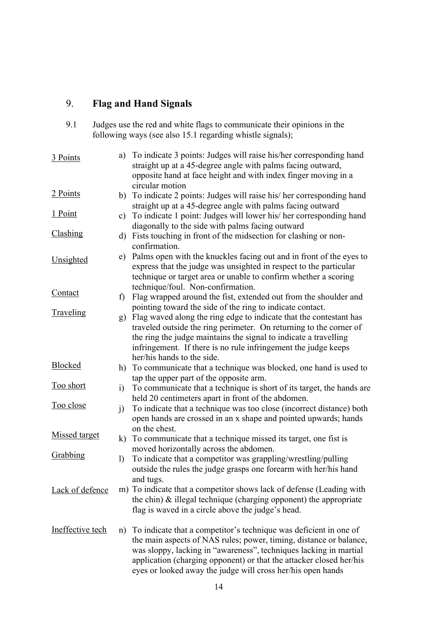# 9. **Flag and Hand Signals**

9.1 Judges use the red and white flags to communicate their opinions in the following ways (see also 15.1 regarding whistle signals);

| 3 Points             | a)           | To indicate 3 points: Judges will raise his/her corresponding hand<br>straight up at a 45-degree angle with palms facing outward,<br>opposite hand at face height and with index finger moving in a                                                                                                                                                                          |
|----------------------|--------------|------------------------------------------------------------------------------------------------------------------------------------------------------------------------------------------------------------------------------------------------------------------------------------------------------------------------------------------------------------------------------|
| 2 Points             |              | circular motion<br>b) To indicate 2 points: Judges will raise his/her corresponding hand<br>straight up at a 45-degree angle with palms facing outward                                                                                                                                                                                                                       |
| 1 Point              | c)           | To indicate 1 point: Judges will lower his/ her corresponding hand<br>diagonally to the side with palms facing outward                                                                                                                                                                                                                                                       |
| Clashing             |              | d) Fists touching in front of the midsection for clashing or non-<br>confirmation.                                                                                                                                                                                                                                                                                           |
| Unsighted            |              | e) Palms open with the knuckles facing out and in front of the eyes to<br>express that the judge was unsighted in respect to the particular<br>technique or target area or unable to confirm whether a scoring                                                                                                                                                               |
| Contact              | f)           | technique/foul. Non-confirmation.<br>Flag wrapped around the fist, extended out from the shoulder and                                                                                                                                                                                                                                                                        |
| Traveling            |              | pointing toward the side of the ring to indicate contact.<br>g) Flag waved along the ring edge to indicate that the contestant has<br>traveled outside the ring perimeter. On returning to the corner of<br>the ring the judge maintains the signal to indicate a travelling<br>infringement. If there is no rule infringement the judge keeps<br>her/his hands to the side. |
| Blocked              |              | h) To communicate that a technique was blocked, one hand is used to<br>tap the upper part of the opposite arm.                                                                                                                                                                                                                                                               |
| <u>Too short</u>     | i)           | To communicate that a technique is short of its target, the hands are<br>held 20 centimeters apart in front of the abdomen.                                                                                                                                                                                                                                                  |
| Too close            | $\mathbf{j}$ | To indicate that a technique was too close (incorrect distance) both<br>open hands are crossed in an x shape and pointed upwards; hands                                                                                                                                                                                                                                      |
| <b>Missed target</b> |              | on the chest.<br>k) To communicate that a technique missed its target, one fist is                                                                                                                                                                                                                                                                                           |
| Grabbing             | $\mathbf{I}$ | moved horizontally across the abdomen.<br>To indicate that a competitor was grappling/wrestling/pulling<br>outside the rules the judge grasps one forearm with her/his hand<br>and tugs.                                                                                                                                                                                     |
| Lack of defence      |              | m) To indicate that a competitor shows lack of defense (Leading with<br>the chin) $\&$ illegal technique (charging opponent) the appropriate<br>flag is waved in a circle above the judge's head.                                                                                                                                                                            |
| Ineffective tech     | n)           | To indicate that a competitor's technique was deficient in one of<br>the main aspects of NAS rules; power, timing, distance or balance,<br>was sloppy, lacking in "awareness", techniques lacking in martial<br>application (charging opponent) or that the attacker closed her/his<br>eyes or looked away the judge will cross her/his open hands                           |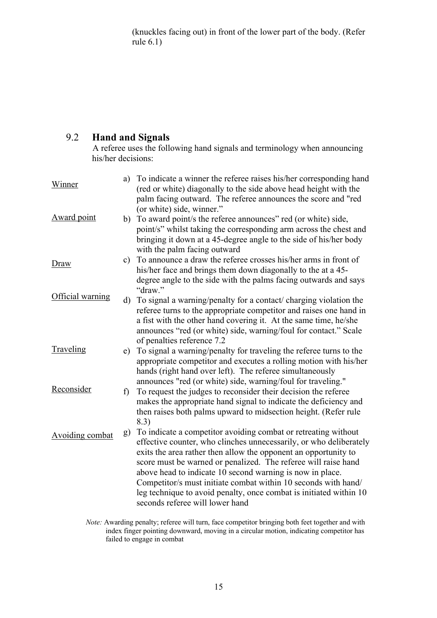(knuckles facing out) in front of the lower part of the body. (Refer rule 6.1)

# 9.2 **Hand and Signals**

A referee uses the following hand signals and terminology when announcing his/her decisions:

| Winner           | a) | To indicate a winner the referee raises his/her corresponding hand<br>(red or white) diagonally to the side above head height with the<br>palm facing outward. The referee announces the score and "red                                                                                                                                                                                                                                                                                                           |
|------------------|----|-------------------------------------------------------------------------------------------------------------------------------------------------------------------------------------------------------------------------------------------------------------------------------------------------------------------------------------------------------------------------------------------------------------------------------------------------------------------------------------------------------------------|
| Award point      |    | (or white) side, winner."<br>b) To award point/s the referee announces" red (or white) side,<br>point/s" whilst taking the corresponding arm across the chest and<br>bringing it down at a 45-degree angle to the side of his/her body<br>with the palm facing outward                                                                                                                                                                                                                                            |
| Draw             | c) | To announce a draw the referee crosses his/her arms in front of<br>his/her face and brings them down diagonally to the at a 45-<br>degree angle to the side with the palms facing outwards and says<br>"draw."                                                                                                                                                                                                                                                                                                    |
| Official warning | d) | To signal a warning/penalty for a contact/ charging violation the<br>referee turns to the appropriate competitor and raises one hand in<br>a fist with the other hand covering it. At the same time, he/she<br>announces "red (or white) side, warning/foul for contact." Scale<br>of penalties reference 7.2                                                                                                                                                                                                     |
| Traveling        | e) | To signal a warning/penalty for traveling the referee turns to the<br>appropriate competitor and executes a rolling motion with his/her<br>hands (right hand over left). The referee simultaneously<br>announces "red (or white) side, warning/foul for traveling."                                                                                                                                                                                                                                               |
| Reconsider       | f) | To request the judges to reconsider their decision the referee<br>makes the appropriate hand signal to indicate the deficiency and<br>then raises both palms upward to midsection height. (Refer rule<br>8.3)                                                                                                                                                                                                                                                                                                     |
| Avoiding combat  | g) | To indicate a competitor avoiding combat or retreating without<br>effective counter, who clinches unnecessarily, or who deliberately<br>exits the area rather then allow the opponent an opportunity to<br>score must be warned or penalized. The referee will raise hand<br>above head to indicate 10 second warning is now in place.<br>Competitor/s must initiate combat within 10 seconds with hand/<br>leg technique to avoid penalty, once combat is initiated within 10<br>seconds referee will lower hand |

*Note:* Awarding penalty; referee will turn, face competitor bringing both feet together and with index finger pointing downward, moving in a circular motion, indicating competitor has failed to engage in combat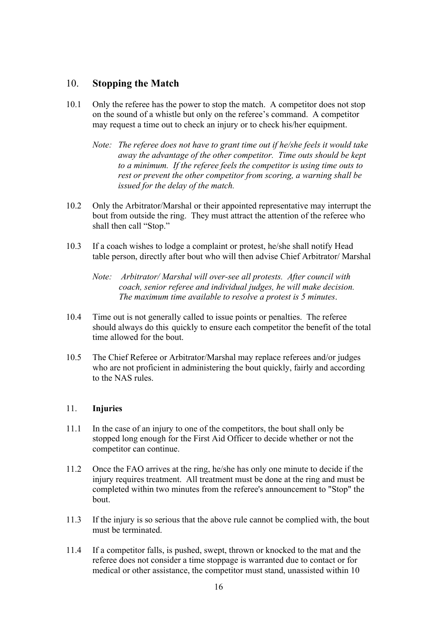# 10. **Stopping the Match**

- 10.1 Only the referee has the power to stop the match. A competitor does not stop on the sound of a whistle but only on the referee's command. A competitor may request a time out to check an injury or to check his/her equipment.
	- *Note: The referee does not have to grant time out if he/she feels it would take away the advantage of the other competitor. Time outs should be kept to a minimum. If the referee feels the competitor is using time outs to rest or prevent the other competitor from scoring, a warning shall be issued for the delay of the match.*
- 10.2 Only the Arbitrator/Marshal or their appointed representative may interrupt the bout from outside the ring. They must attract the attention of the referee who shall then call "Stop."
- 10.3 If a coach wishes to lodge a complaint or protest, he/she shall notify Head table person, directly after bout who will then advise Chief Arbitrator/ Marshal
	- *Note: Arbitrator/ Marshal will over-see all protests. After council with coach, senior referee and individual judges, he will make decision. The maximum time available to resolve a protest is 5 minutes*.
- 10.4 Time out is not generally called to issue points or penalties. The referee should always do this quickly to ensure each competitor the benefit of the total time allowed for the bout.
- 10.5 The Chief Referee or Arbitrator/Marshal may replace referees and/or judges who are not proficient in administering the bout quickly, fairly and according to the NAS rules.

#### 11. **Injuries**

- 11.1 In the case of an injury to one of the competitors, the bout shall only be stopped long enough for the First Aid Officer to decide whether or not the competitor can continue.
- 11.2 Once the FAO arrives at the ring, he/she has only one minute to decide if the injury requires treatment. All treatment must be done at the ring and must be completed within two minutes from the referee's announcement to "Stop" the bout.
- 11.3 If the injury is so serious that the above rule cannot be complied with, the bout must be terminated.
- 11.4 If a competitor falls, is pushed, swept, thrown or knocked to the mat and the referee does not consider a time stoppage is warranted due to contact or for medical or other assistance, the competitor must stand, unassisted within 10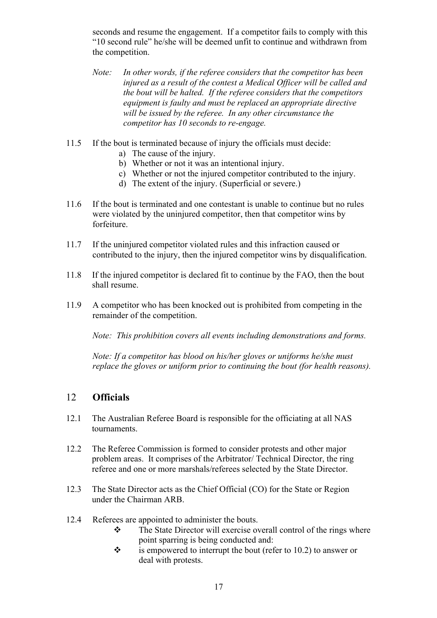seconds and resume the engagement. If a competitor fails to comply with this "10 second rule" he/she will be deemed unfit to continue and withdrawn from the competition.

- *Note: In other words, if the referee considers that the competitor has been injured as a result of the contest a Medical Officer will be called and the bout will be halted. If the referee considers that the competitors equipment is faulty and must be replaced an appropriate directive will be issued by the referee. In any other circumstance the competitor has 10 seconds to re-engage.*
- 11.5 If the bout is terminated because of injury the officials must decide:
	- a) The cause of the injury.
	- b) Whether or not it was an intentional injury.
	- c) Whether or not the injured competitor contributed to the injury.
	- d) The extent of the injury. (Superficial or severe.)
- 11.6 If the bout is terminated and one contestant is unable to continue but no rules were violated by the uninjured competitor, then that competitor wins by forfeiture.
- 11.7 If the uninjured competitor violated rules and this infraction caused or contributed to the injury, then the injured competitor wins by disqualification.
- 11.8 If the injured competitor is declared fit to continue by the FAO, then the bout shall resume.
- 11.9 A competitor who has been knocked out is prohibited from competing in the remainder of the competition.

*Note: This prohibition covers all events including demonstrations and forms.*

*Note: If a competitor has blood on his/her gloves or uniforms he/she must replace the gloves or uniform prior to continuing the bout (for health reasons).*

#### 12 **Officials**

- 12.1 The Australian Referee Board is responsible for the officiating at all NAS tournaments.
- 12.2 The Referee Commission is formed to consider protests and other major problem areas. It comprises of the Arbitrator/ Technical Director, the ring referee and one or more marshals/referees selected by the State Director.
- 12.3 The State Director acts as the Chief Official (CO) for the State or Region under the Chairman ARB.
- 12.4 Referees are appointed to administer the bouts.
	- $\div$  The State Director will exercise overall control of the rings where point sparring is being conducted and:
	- $\ddot{\bullet}$  is empowered to interrupt the bout (refer to 10.2) to answer or deal with protests.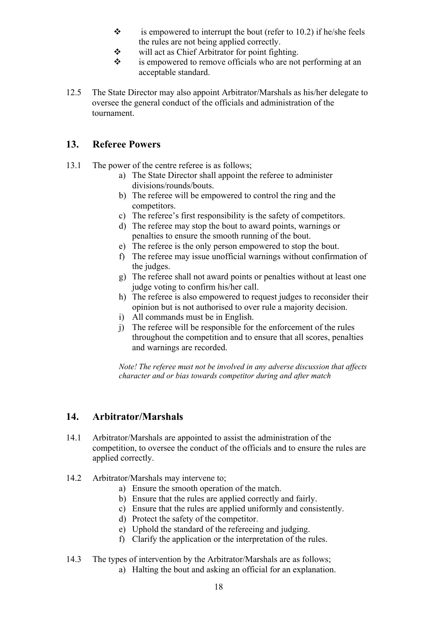- $\cdot \cdot$  is empowered to interrupt the bout (refer to 10.2) if he/she feels the rules are not being applied correctly.
- $\mathbf{\hat{v}}$  will act as Chief Arbitrator for point fighting.
- $\mathbf{\hat{P}}$  is empowered to remove officials who are not performing at an acceptable standard.
- 12.5 The State Director may also appoint Arbitrator/Marshals as his/her delegate to oversee the general conduct of the officials and administration of the tournament.

# **13. Referee Powers**

- 13.1 The power of the centre referee is as follows;
	- a) The State Director shall appoint the referee to administer divisions/rounds/bouts.
	- b) The referee will be empowered to control the ring and the competitors.
	- c) The referee's first responsibility is the safety of competitors.
	- d) The referee may stop the bout to award points, warnings or penalties to ensure the smooth running of the bout.
	- e) The referee is the only person empowered to stop the bout.
	- f) The referee may issue unofficial warnings without confirmation of the judges.
	- g) The referee shall not award points or penalties without at least one judge voting to confirm his/her call.
	- h) The referee is also empowered to request judges to reconsider their opinion but is not authorised to over rule a majority decision.
	- i) All commands must be in English.
	- j) The referee will be responsible for the enforcement of the rules throughout the competition and to ensure that all scores, penalties and warnings are recorded.

*Note! The referee must not be involved in any adverse discussion that affects character and or bias towards competitor during and after match*

# **14. Arbitrator/Marshals**

- 14.1 Arbitrator/Marshals are appointed to assist the administration of the competition, to oversee the conduct of the officials and to ensure the rules are applied correctly.
- 14.2 Arbitrator/Marshals may intervene to;
	- a) Ensure the smooth operation of the match.
	- b) Ensure that the rules are applied correctly and fairly.
	- c) Ensure that the rules are applied uniformly and consistently.
	- d) Protect the safety of the competitor.
	- e) Uphold the standard of the refereeing and judging.
	- f) Clarify the application or the interpretation of the rules.

#### 14.3 The types of intervention by the Arbitrator/Marshals are as follows;

a) Halting the bout and asking an official for an explanation.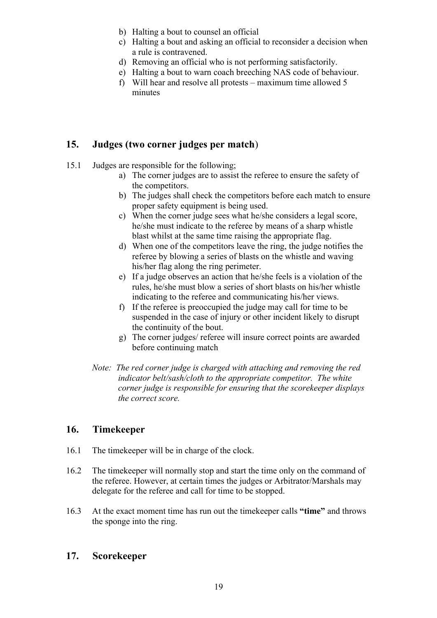- b) Halting a bout to counsel an official
- c) Halting a bout and asking an official to reconsider a decision when a rule is contravened.
- d) Removing an official who is not performing satisfactorily.
- e) Halting a bout to warn coach breeching NAS code of behaviour.
- f) Will hear and resolve all protests maximum time allowed 5 minutes

# **15. Judges (two corner judges per match**)

- 15.1 Judges are responsible for the following;
	- a) The corner judges are to assist the referee to ensure the safety of the competitors.
	- b) The judges shall check the competitors before each match to ensure proper safety equipment is being used.
	- c) When the corner judge sees what he/she considers a legal score, he/she must indicate to the referee by means of a sharp whistle blast whilst at the same time raising the appropriate flag.
	- d) When one of the competitors leave the ring, the judge notifies the referee by blowing a series of blasts on the whistle and waving his/her flag along the ring perimeter.
	- e) If a judge observes an action that he/she feels is a violation of the rules, he/she must blow a series of short blasts on his/her whistle indicating to the referee and communicating his/her views.
	- f) If the referee is preoccupied the judge may call for time to be suspended in the case of injury or other incident likely to disrupt the continuity of the bout.
	- g) The corner judges/ referee will insure correct points are awarded before continuing match
	- *Note: The red corner judge is charged with attaching and removing the red indicator belt/sash/cloth to the appropriate competitor. The white corner judge is responsible for ensuring that the scorekeeper displays the correct score.*

# **16. Timekeeper**

- 16.1 The timekeeper will be in charge of the clock.
- 16.2 The timekeeper will normally stop and start the time only on the command of the referee. However, at certain times the judges or Arbitrator/Marshals may delegate for the referee and call for time to be stopped.
- 16.3 At the exact moment time has run out the timekeeper calls **"time"** and throws the sponge into the ring.

# **17. Scorekeeper**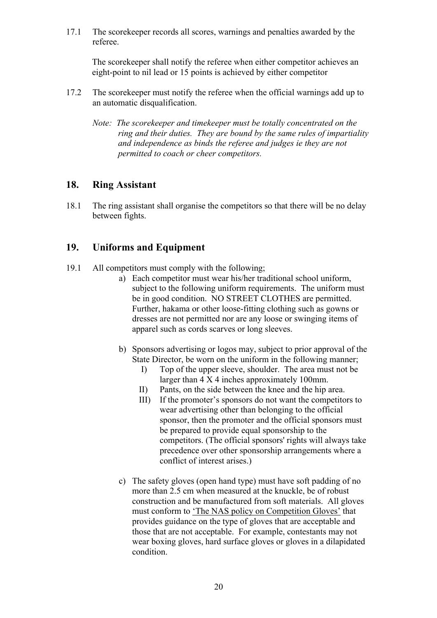17.1 The scorekeeper records all scores, warnings and penalties awarded by the referee.

The scorekeeper shall notify the referee when either competitor achieves an eight-point to nil lead or 15 points is achieved by either competitor

- 17.2 The scorekeeper must notify the referee when the official warnings add up to an automatic disqualification.
	- *Note: The scorekeeper and timekeeper must be totally concentrated on the ring and their duties. They are bound by the same rules of impartiality and independence as binds the referee and judges ie they are not permitted to coach or cheer competitors.*

# **18. Ring Assistant**

18.1 The ring assistant shall organise the competitors so that there will be no delay between fights.

# **19. Uniforms and Equipment**

- 19.1 All competitors must comply with the following;
	- a) Each competitor must wear his/her traditional school uniform, subject to the following uniform requirements. The uniform must be in good condition. NO STREET CLOTHES are permitted. Further, hakama or other loose-fitting clothing such as gowns or dresses are not permitted nor are any loose or swinging items of apparel such as cords scarves or long sleeves.
	- b) Sponsors advertising or logos may, subject to prior approval of the State Director, be worn on the uniform in the following manner;
		- I) Top of the upper sleeve, shoulder. The area must not be larger than 4 X 4 inches approximately 100mm.
		- II) Pants, on the side between the knee and the hip area.
		- III) If the promoter's sponsors do not want the competitors to wear advertising other than belonging to the official sponsor, then the promoter and the official sponsors must be prepared to provide equal sponsorship to the competitors. (The official sponsors' rights will always take precedence over other sponsorship arrangements where a conflict of interest arises.)
	- c) The safety gloves (open hand type) must have soft padding of no more than 2.5 cm when measured at the knuckle, be of robust construction and be manufactured from soft materials. All gloves must conform to 'The NAS policy on Competition Gloves' that provides guidance on the type of gloves that are acceptable and those that are not acceptable. For example, contestants may not wear boxing gloves, hard surface gloves or gloves in a dilapidated condition.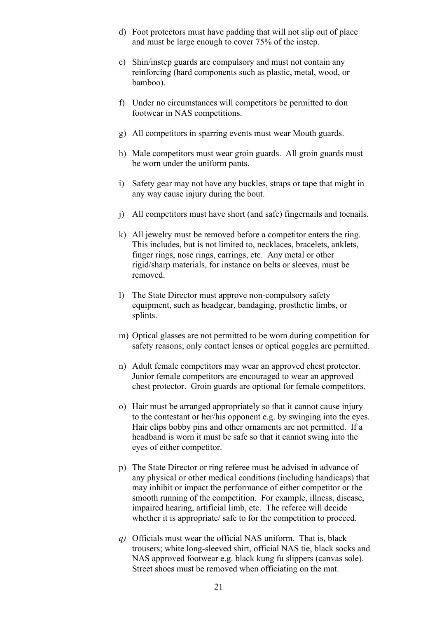- d) Foot protectors must have padding that will not slip out of place and must be large enough to cover 75% of the instep.
- e) Shin/instep guards are compulsory and must not contain any reinforcing (hard components such as plastic, metal, wood, or bamboo).
- f) Under no circumstances will competitors be permitted to don footwear in NAS competitions.
- g) All competitors in sparring events must wear Mouth guards.
- h) Male competitors must wear groin guards. All groin guards must be worn under the uniform pants.
- i) Safety gear may not have any buckles, straps or tape that might in any way cause injury during the bout.
- j) All competitors must have short (and safe) fingernails and toenails.
- k) All jewelry must be removed before a competitor enters the ring. This includes, but is not limited to, necklaces, bracelets, anklets, finger rings, nose rings, earrings, etc. Any metal or other rigid/sharp materials, for instance on belts or sleeves, must be removed.
- l) The State Director must approve non-compulsory safety equipment, such as headgear, bandaging, prosthetic limbs, or splints.
- m) Optical glasses are not permitted to be worn during competition for safety reasons; only contact lenses or optical goggles are permitted.
- n) Adult female competitors may wear an approved chest protector. Junior female competitors are encouraged to wear an approved chest protector. Groin guards are optional for female competitors.
- o) Hair must be arranged appropriately so that it cannot cause injury to the contestant or her/his opponent e.g. by swinging into the eyes. Hair clips bobby pins and other ornaments are not permitted. If a headband is worn it must be safe so that it cannot swing into the eyes of either competitor.
- p) The State Director or ring referee must be advised in advance of any physical or other medical conditions (including handicaps) that may inhibit or impact the performance of either competitor or the smooth running of the competition. For example, illness, disease, impaired hearing, artificial limb, etc. The referee will decide whether it is appropriate/ safe to for the competition to proceed.
- *q)* Officials must wear the official NAS uniform. That is, black trousers; white long-sleeved shirt, official NAS tie, black socks and NAS approved footwear e.g. black kung fu slippers (canvas sole). Street shoes must be removed when officiating on the mat.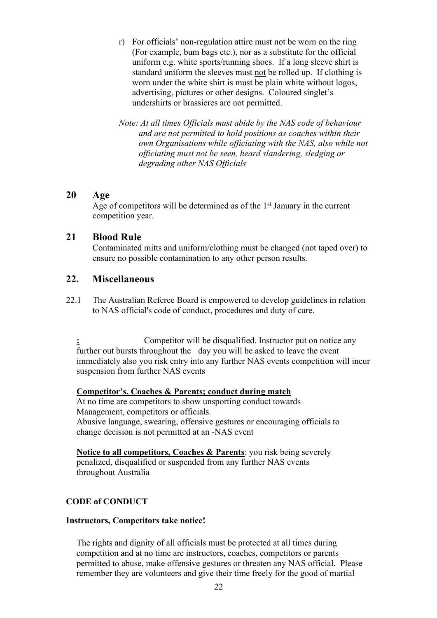- r) For officials' non-regulation attire must not be worn on the ring (For example, bum bags etc.), nor as a substitute for the official uniform e.g. white sports/running shoes. If a long sleeve shirt is standard uniform the sleeves must not be rolled up. If clothing is worn under the white shirt is must be plain white without logos, advertising, pictures or other designs. Coloured singlet's undershirts or brassieres are not permitted.
- *Note: At all times Officials must abide by the NAS code of behaviour and are not permitted to hold positions as coaches within their own Organisations while officiating with the NAS, also while not officiating must not be seen, heard slandering, sledging or degrading other NAS Officials*

#### **20 Age**

Age of competitors will be determined as of the  $1<sup>st</sup>$  January in the current competition year.

# **21 Blood Rule**

Contaminated mitts and uniform/clothing must be changed (not taped over) to ensure no possible contamination to any other person results.

# **22. Miscellaneous**

22.1 The Australian Referee Board is empowered to develop guidelines in relation to NAS official's code of conduct, procedures and duty of care.

**:** Competitor will be disqualified. Instructor put on notice any further out bursts throughout the day you will be asked to leave the event immediately also you risk entry into any further NAS events competition will incur suspension from further NAS events

#### **Competitor's, Coaches & Parents; conduct during match**

At no time are competitors to show unsporting conduct towards Management, competitors or officials. Abusive language, swearing, offensive gestures or encouraging officials to change decision is not permitted at an -NAS event

**Notice to all competitors, Coaches & Parents**: you risk being severely penalized, disqualified or suspended from any further NAS events throughout Australia

#### **CODE of CONDUCT**

#### **Instructors, Competitors take notice!**

The rights and dignity of all officials must be protected at all times during competition and at no time are instructors, coaches, competitors or parents permitted to abuse, make offensive gestures or threaten any NAS official. Please remember they are volunteers and give their time freely for the good of martial